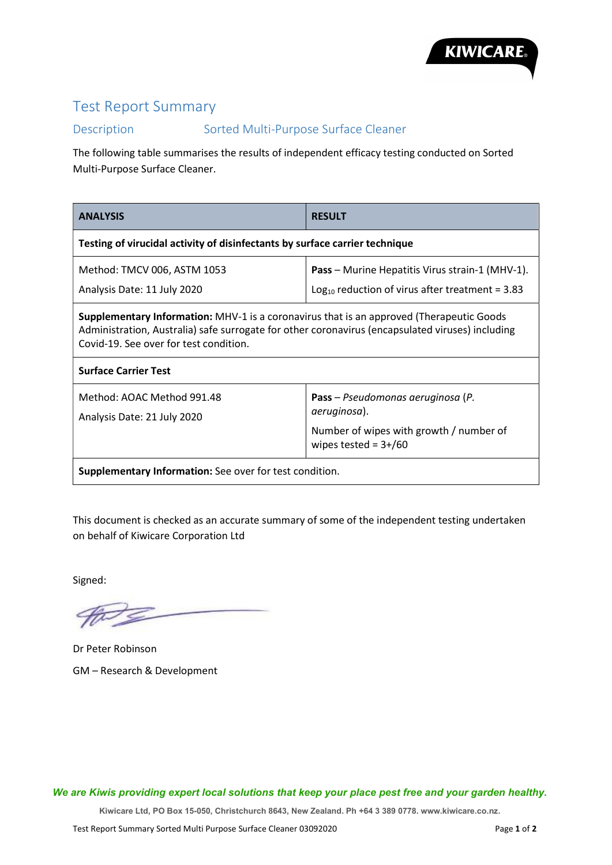

## Test Report Summary

## Description Sorted Multi-Purpose Surface Cleaner

The following table summarises the results of independent efficacy testing conducted on Sorted Multi-Purpose Surface Cleaner.

| <b>ANALYSIS</b>                                                                                                                                                                                                                        | <b>RESULT</b>                                                                                                           |  |
|----------------------------------------------------------------------------------------------------------------------------------------------------------------------------------------------------------------------------------------|-------------------------------------------------------------------------------------------------------------------------|--|
| Testing of virucidal activity of disinfectants by surface carrier technique                                                                                                                                                            |                                                                                                                         |  |
| Method: TMCV 006, ASTM 1053<br>Analysis Date: 11 July 2020                                                                                                                                                                             | <b>Pass</b> – Murine Hepatitis Virus strain-1 (MHV-1).<br>Log <sub>10</sub> reduction of virus after treatment = $3.83$ |  |
| Supplementary Information: MHV-1 is a coronavirus that is an approved (Therapeutic Goods<br>Administration, Australia) safe surrogate for other coronavirus (encapsulated viruses) including<br>Covid-19. See over for test condition. |                                                                                                                         |  |
| <b>Surface Carrier Test</b>                                                                                                                                                                                                            |                                                                                                                         |  |
| Method: AOAC Method 991.48<br>Analysis Date: 21 July 2020                                                                                                                                                                              | Pass - Pseudomonas aeruginosa (P.<br>aeruginosa).<br>Number of wipes with growth / number of<br>wipes tested = $3+/60$  |  |
| <b>Supplementary Information:</b> See over for test condition.                                                                                                                                                                         |                                                                                                                         |  |

This document is checked as an accurate summary of some of the independent testing undertaken on behalf of Kiwicare Corporation Ltd

Signed:

Dr Peter Robinson GM – Research & Development

We are Kiwis providing expert local solutions that keep your place pest free and your garden healthy.

Kiwicare Ltd, PO Box 15-050, Christchurch 8643, New Zealand. Ph +64 3 389 0778. www.kiwicare.co.nz.